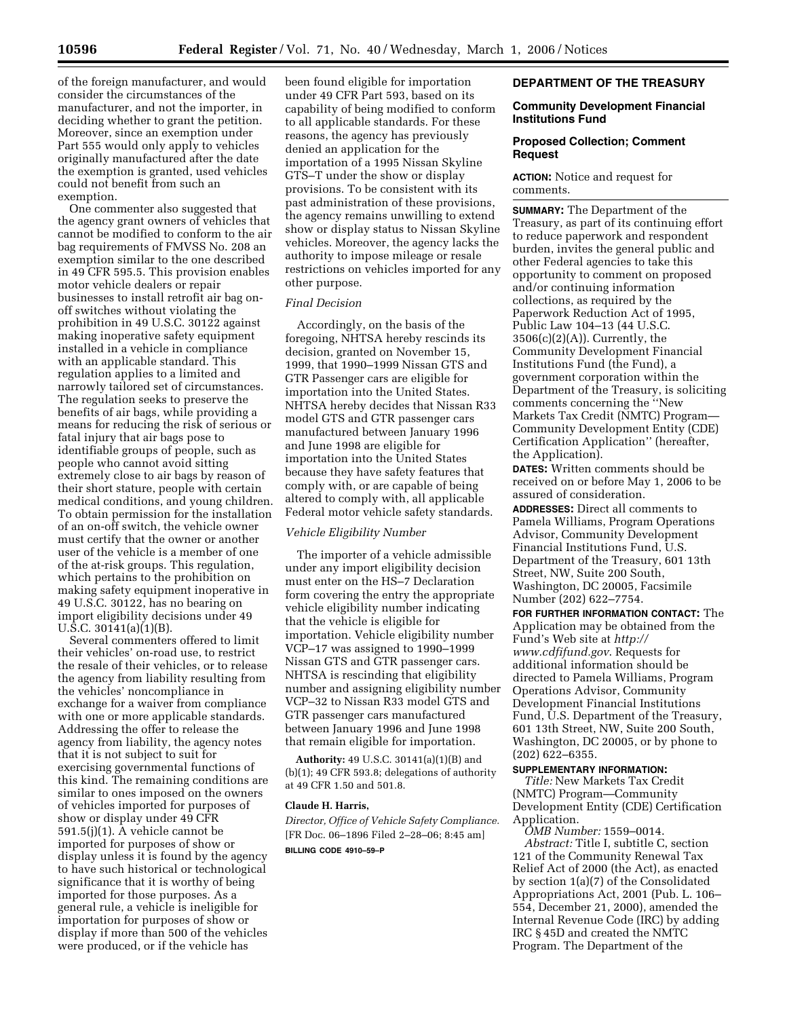of the foreign manufacturer, and would consider the circumstances of the manufacturer, and not the importer, in deciding whether to grant the petition. Moreover, since an exemption under Part 555 would only apply to vehicles originally manufactured after the date the exemption is granted, used vehicles could not benefit from such an exemption.

One commenter also suggested that the agency grant owners of vehicles that cannot be modified to conform to the air bag requirements of FMVSS No. 208 an exemption similar to the one described in 49 CFR 595.5. This provision enables motor vehicle dealers or repair businesses to install retrofit air bag onoff switches without violating the prohibition in 49 U.S.C. 30122 against making inoperative safety equipment installed in a vehicle in compliance with an applicable standard. This regulation applies to a limited and narrowly tailored set of circumstances. The regulation seeks to preserve the benefits of air bags, while providing a means for reducing the risk of serious or fatal injury that air bags pose to identifiable groups of people, such as people who cannot avoid sitting extremely close to air bags by reason of their short stature, people with certain medical conditions, and young children. To obtain permission for the installation of an on-off switch, the vehicle owner must certify that the owner or another user of the vehicle is a member of one of the at-risk groups. This regulation, which pertains to the prohibition on making safety equipment inoperative in 49 U.S.C. 30122, has no bearing on import eligibility decisions under 49 U.S.C. 30141(a)(1)(B).

Several commenters offered to limit their vehicles' on-road use, to restrict the resale of their vehicles, or to release the agency from liability resulting from the vehicles' noncompliance in exchange for a waiver from compliance with one or more applicable standards. Addressing the offer to release the agency from liability, the agency notes that it is not subject to suit for exercising governmental functions of this kind. The remaining conditions are similar to ones imposed on the owners of vehicles imported for purposes of show or display under 49 CFR 591.5(j)(1). A vehicle cannot be imported for purposes of show or display unless it is found by the agency to have such historical or technological significance that it is worthy of being imported for those purposes. As a general rule, a vehicle is ineligible for importation for purposes of show or display if more than 500 of the vehicles were produced, or if the vehicle has

been found eligible for importation under 49 CFR Part 593, based on its capability of being modified to conform to all applicable standards. For these reasons, the agency has previously denied an application for the importation of a 1995 Nissan Skyline GTS–T under the show or display provisions. To be consistent with its past administration of these provisions, the agency remains unwilling to extend show or display status to Nissan Skyline vehicles. Moreover, the agency lacks the authority to impose mileage or resale restrictions on vehicles imported for any other purpose.

# *Final Decision*

Accordingly, on the basis of the foregoing, NHTSA hereby rescinds its decision, granted on November 15, 1999, that 1990–1999 Nissan GTS and GTR Passenger cars are eligible for importation into the United States. NHTSA hereby decides that Nissan R33 model GTS and GTR passenger cars manufactured between January 1996 and June 1998 are eligible for importation into the United States because they have safety features that comply with, or are capable of being altered to comply with, all applicable Federal motor vehicle safety standards.

#### *Vehicle Eligibility Number*

The importer of a vehicle admissible under any import eligibility decision must enter on the HS–7 Declaration form covering the entry the appropriate vehicle eligibility number indicating that the vehicle is eligible for importation. Vehicle eligibility number VCP–17 was assigned to 1990–1999 Nissan GTS and GTR passenger cars. NHTSA is rescinding that eligibility number and assigning eligibility number VCP–32 to Nissan R33 model GTS and GTR passenger cars manufactured between January 1996 and June 1998 that remain eligible for importation.

**Authority:** 49 U.S.C. 30141(a)(1)(B) and (b)(1); 49 CFR 593.8; delegations of authority at 49 CFR 1.50 and 501.8.

## **Claude H. Harris,**

*Director, Office of Vehicle Safety Compliance.*  [FR Doc. 06–1896 Filed 2–28–06; 8:45 am] **BILLING CODE 4910–59–P** 

# **DEPARTMENT OF THE TREASURY**

## **Community Development Financial Institutions Fund**

# **Proposed Collection; Comment Request**

## **ACTION:** Notice and request for comments.

**SUMMARY:** The Department of the Treasury, as part of its continuing effort to reduce paperwork and respondent burden, invites the general public and other Federal agencies to take this opportunity to comment on proposed and/or continuing information collections, as required by the Paperwork Reduction Act of 1995, Public Law 104–13 (44 U.S.C.  $3506(c)(2)(A)$ . Currently, the Community Development Financial Institutions Fund (the Fund), a government corporation within the Department of the Treasury, is soliciting comments concerning the ''New Markets Tax Credit (NMTC) Program— Community Development Entity (CDE) Certification Application'' (hereafter, the Application).

**DATES:** Written comments should be received on or before May 1, 2006 to be assured of consideration.

**ADDRESSES:** Direct all comments to Pamela Williams, Program Operations Advisor, Community Development Financial Institutions Fund, U.S. Department of the Treasury, 601 13th Street, NW, Suite 200 South, Washington, DC 20005, Facsimile Number (202) 622–7754.

**FOR FURTHER INFORMATION CONTACT:** The Application may be obtained from the Fund's Web site at *http:// www.cdfifund.gov*. Requests for additional information should be directed to Pamela Williams, Program Operations Advisor, Community Development Financial Institutions Fund, U.S. Department of the Treasury, 601 13th Street, NW, Suite 200 South, Washington, DC 20005, or by phone to (202) 622–6355.

## **SUPPLEMENTARY INFORMATION:**

*Title:* New Markets Tax Credit (NMTC) Program—Community Development Entity (CDE) Certification Application.

*OMB Number:* 1559–0014. *Abstract:* Title I, subtitle C, section 121 of the Community Renewal Tax Relief Act of 2000 (the Act), as enacted by section 1(a)(7) of the Consolidated Appropriations Act, 2001 (Pub. L. 106– 554, December 21, 2000), amended the Internal Revenue Code (IRC) by adding IRC § 45D and created the NMTC Program. The Department of the